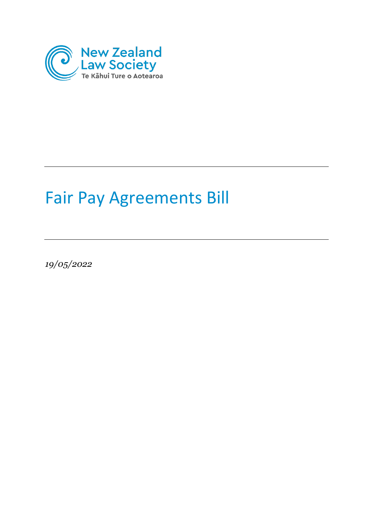

# Fair Pay Agreements Bill

*19/05/2022*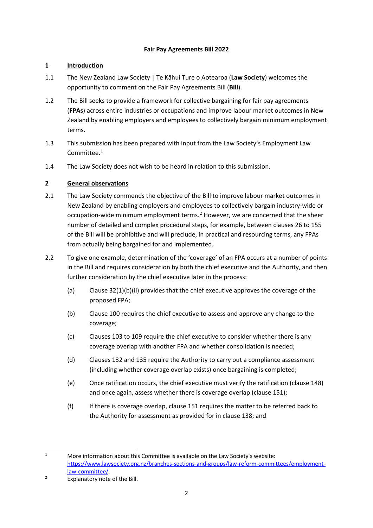## **Fair Pay Agreements Bill 2022**

## **1 Introduction**

- 1.1 The New Zealand Law Society | Te Kāhui Ture o Aotearoa (**Law Society**) welcomes the opportunity to comment on the Fair Pay Agreements Bill (**Bill**).
- 1.2 The Bill seeks to provide a framework for collective bargaining for fair pay agreements (**FPAs**) across entire industries or occupations and improve labour market outcomes in New Zealand by enabling employers and employees to collectively bargain minimum employment terms.
- 1.3 This submission has been prepared with input from the Law Society's Employment Law Committee. [1](#page-1-0)
- 1.4 The Law Society does not wish to be heard in relation to this submission.

## **2 General observations**

- 2.1 The Law Society commends the objective of the Bill to improve labour market outcomes in New Zealand by enabling employers and employees to collectively bargain industry-wide or occupation-wide minimum employment terms.<sup>[2](#page-1-1)</sup> However, we are concerned that the sheer number of detailed and complex procedural steps, for example, between clauses 26 to 155 of the Bill will be prohibitive and will preclude, in practical and resourcing terms, any FPAs from actually being bargained for and implemented.
- 2.2 To give one example, determination of the 'coverage' of an FPA occurs at a number of points in the Bill and requires consideration by both the chief executive and the Authority, and then further consideration by the chief executive later in the process:
	- (a) Clause 32(1)(b)(ii) provides that the chief executive approves the coverage of the proposed FPA;
	- (b) Clause 100 requires the chief executive to assess and approve any change to the coverage;
	- (c) Clauses 103 to 109 require the chief executive to consider whether there is any coverage overlap with another FPA and whether consolidation is needed;
	- (d) Clauses 132 and 135 require the Authority to carry out a compliance assessment (including whether coverage overlap exists) once bargaining is completed;
	- (e) Once ratification occurs, the chief executive must verify the ratification (clause 148) and once again, assess whether there is coverage overlap (clause 151);
	- (f) If there is coverage overlap, clause 151 requires the matter to be referred back to the Authority for assessment as provided for in clause 138; and

<span id="page-1-0"></span><sup>1</sup> More information about this Committee is available on the Law Society's website: [https://www.lawsociety.org.nz/branches-sections-and-](https://www.lawsociety.org.nz/branches-sections-and-groups/law-reform-committees/employment-law-committee/)groups/law-reform-committees/employment[law-committee/.](https://www.lawsociety.org.nz/branches-sections-and-groups/law-reform-committees/employment-law-committee/)

<span id="page-1-1"></span>Explanatory note of the Bill.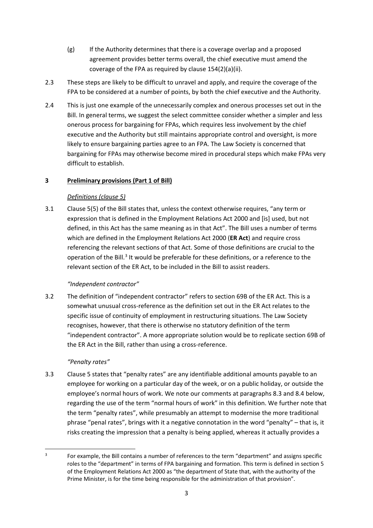- (g) If the Authority determines that there is a coverage overlap and a proposed agreement provides better terms overall, the chief executive must amend the coverage of the FPA as required by clause 154(2)(a)(ii).
- 2.3 These steps are likely to be difficult to unravel and apply, and require the coverage of the FPA to be considered at a number of points, by both the chief executive and the Authority.
- 2.4 This is just one example of the unnecessarily complex and onerous processes set out in the Bill. In general terms, we suggest the select committee consider whether a simpler and less onerous process for bargaining for FPAs, which requires less involvement by the chief executive and the Authority but still maintains appropriate control and oversight, is more likely to ensure bargaining parties agree to an FPA. The Law Society is concerned that bargaining for FPAs may otherwise become mired in procedural steps which make FPAs very difficult to establish.

## **3 Preliminary provisions (Part 1 of Bill)**

## *Definitions (clause 5)*

3.1 Clause 5(5) of the Bill states that, unless the context otherwise requires, "any term or expression that is defined in the Employment Relations Act 2000 and [is] used, but not defined, in this Act has the same meaning as in that Act". The Bill uses a number of terms which are defined in the Employment Relations Act 2000 (**ER Act**) and require cross referencing the relevant sections of that Act. Some of those definitions are crucial to the operation of the Bill. $3$  It would be preferable for these definitions, or a reference to the relevant section of the ER Act, to be included in the Bill to assist readers.

## *"Independent contractor"*

3.2 The definition of "independent contractor" refers to section 69B of the ER Act. This is a somewhat unusual cross-reference as the definition set out in the ER Act relates to the specific issue of continuity of employment in restructuring situations. The Law Society recognises, however, that there is otherwise no statutory definition of the term "independent contractor". A more appropriate solution would be to replicate section 69B of the ER Act in the Bill, rather than using a cross-reference.

## *"Penalty rates"*

3.3 Clause 5 states that "penalty rates" are any identifiable additional amounts payable to an employee for working on a particular day of the week, or on a public holiday, or outside the employee's normal hours of work. We note our comments at paragraphs 8.3 and 8.4 below, regarding the use of the term "normal hours of work" in this definition. We further note that the term "penalty rates", while presumably an attempt to modernise the more traditional phrase "penal rates", brings with it a negative connotation in the word "penalty" – that is, it risks creating the impression that a penalty is being applied, whereas it actually provides a

<span id="page-2-0"></span><sup>3</sup> For example, the Bill contains a number of references to the term "department" and assigns specific roles to the "department" in terms of FPA bargaining and formation. This term is defined in section 5 of the Employment Relations Act 2000 as "the department of State that, with the authority of the Prime Minister, is for the time being responsible for the administration of that provision".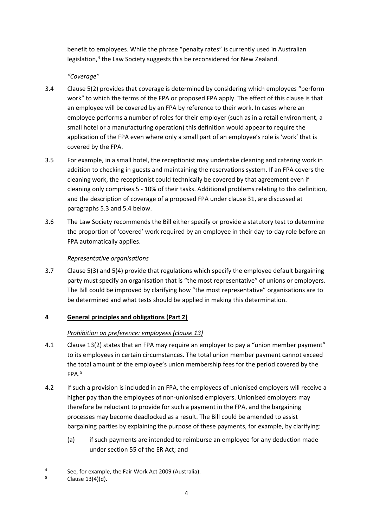benefit to employees. While the phrase "penalty rates" is currently used in Australian legislation,<sup>[4](#page-3-0)</sup> the Law Society suggests this be reconsidered for New Zealand.

## *"Coverage"*

- 3.4 Clause 5(2) provides that coverage is determined by considering which employees "perform work" to which the terms of the FPA or proposed FPA apply. The effect of this clause is that an employee will be covered by an FPA by reference to their work. In cases where an employee performs a number of roles for their employer (such as in a retail environment, a small hotel or a manufacturing operation) this definition would appear to require the application of the FPA even where only a small part of an employee's role is 'work' that is covered by the FPA.
- 3.5 For example, in a small hotel, the receptionist may undertake cleaning and catering work in addition to checking in guests and maintaining the reservations system. If an FPA covers the cleaning work, the receptionist could technically be covered by that agreement even if cleaning only comprises 5 - 10% of their tasks. Additional problems relating to this definition, and the description of coverage of a proposed FPA under clause 31, are discussed at paragraphs 5.3 and 5.4 below.
- 3.6 The Law Society recommends the Bill either specify or provide a statutory test to determine the proportion of 'covered' work required by an employee in their day-to-day role before an FPA automatically applies.

## *Representative organisations*

3.7 Clause 5(3) and 5(4) provide that regulations which specify the employee default bargaining party must specify an organisation that is "the most representative" of unions or employers. The Bill could be improved by clarifying how "the most representative" organisations are to be determined and what tests should be applied in making this determination.

# **4 General principles and obligations (Part 2)**

# *Prohibition on preference: employees (clause 13)*

- 4.1 Clause 13(2) states that an FPA may require an employer to pay a "union member payment" to its employees in certain circumstances. The total union member payment cannot exceed the total amount of the employee's union membership fees for the period covered by the FPA.[5](#page-3-1)
- 4.2 If such a provision is included in an FPA, the employees of unionised employers will receive a higher pay than the employees of non-unionised employers. Unionised employers may therefore be reluctant to provide for such a payment in the FPA, and the bargaining processes may become deadlocked as a result. The Bill could be amended to assist bargaining parties by explaining the purpose of these payments, for example, by clarifying:
	- (a) if such payments are intended to reimburse an employee for any deduction made under section 55 of the ER Act; and

<span id="page-3-0"></span><sup>4</sup> See, for example, the Fair Work Act 2009 (Australia).

<span id="page-3-1"></span><sup>5</sup> Clause 13(4)(d).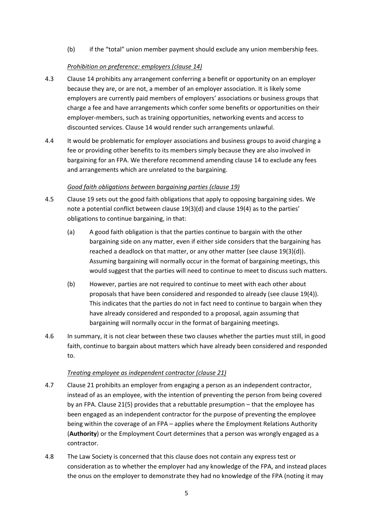(b) if the "total" union member payment should exclude any union membership fees.

#### *Prohibition on preference: employers (clause 14)*

- 4.3 Clause 14 prohibits any arrangement conferring a benefit or opportunity on an employer because they are, or are not, a member of an employer association. It is likely some employers are currently paid members of employers' associations or business groups that charge a fee and have arrangements which confer some benefits or opportunities on their employer-members, such as training opportunities, networking events and access to discounted services. Clause 14 would render such arrangements unlawful.
- 4.4 It would be problematic for employer associations and business groups to avoid charging a fee or providing other benefits to its members simply because they are also involved in bargaining for an FPA. We therefore recommend amending clause 14 to exclude any fees and arrangements which are unrelated to the bargaining.

#### *Good faith obligations between bargaining parties (clause 19)*

- 4.5 Clause 19 sets out the good faith obligations that apply to opposing bargaining sides. We note a potential conflict between clause 19(3)(d) and clause 19(4) as to the parties' obligations to continue bargaining, in that:
	- (a) A good faith obligation is that the parties continue to bargain with the other bargaining side on any matter, even if either side considers that the bargaining has reached a deadlock on that matter, or any other matter (see clause 19(3)(d)). Assuming bargaining will normally occur in the format of bargaining meetings, this would suggest that the parties will need to continue to meet to discuss such matters.
	- (b) However, parties are not required to continue to meet with each other about proposals that have been considered and responded to already (see clause 19(4)). This indicates that the parties do not in fact need to continue to bargain when they have already considered and responded to a proposal, again assuming that bargaining will normally occur in the format of bargaining meetings.
- 4.6 In summary, it is not clear between these two clauses whether the parties must still, in good faith, continue to bargain about matters which have already been considered and responded to.

## *Treating employee as independent contractor (clause 21)*

- 4.7 Clause 21 prohibits an employer from engaging a person as an independent contractor, instead of as an employee, with the intention of preventing the person from being covered by an FPA. Clause 21(5) provides that a rebuttable presumption – that the employee has been engaged as an independent contractor for the purpose of preventing the employee being within the coverage of an FPA – applies where the Employment Relations Authority (**Authority**) or the Employment Court determines that a person was wrongly engaged as a contractor.
- 4.8 The Law Society is concerned that this clause does not contain any express test or consideration as to whether the employer had any knowledge of the FPA, and instead places the onus on the employer to demonstrate they had no knowledge of the FPA (noting it may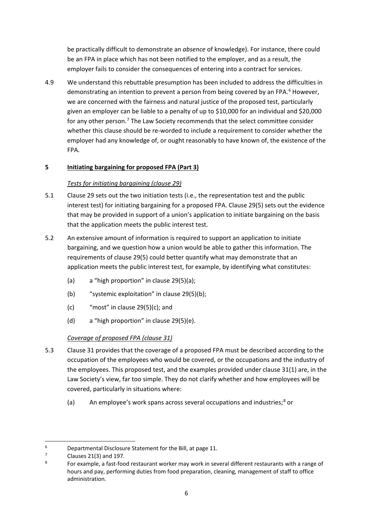be practically difficult to demonstrate an *absence* of knowledge). For instance, there could be an FPA in place which has not been notified to the employer, and as a result, the employer fails to consider the consequences of entering into a contract for services.

4.9 We understand this rebuttable presumption has been included to address the difficulties in demonstrating an intention to prevent a person from being covered by an FPA.<sup>[6](#page-5-0)</sup> However, we are concerned with the fairness and natural justice of the proposed test, particularly given an employer can be liable to a penalty of up to \$10,000 for an individual and \$20,000 for any other person.<sup>[7](#page-5-1)</sup> The Law Society recommends that the select committee consider whether this clause should be re-worded to include a requirement to consider whether the employer had any knowledge of, or ought reasonably to have known of, the existence of the FPA.

## **5 Initiating bargaining for proposed FPA (Part 3)**

## *Tests for initiating bargaining (clause 29)*

- 5.1 Clause 29 sets out the two initiation tests (i.e., the representation test and the public interest test) for initiating bargaining for a proposed FPA. Clause 29(5) sets out the evidence that may be provided in support of a union's application to initiate bargaining on the basis that the application meets the public interest test.
- 5.2 An extensive amount of information is required to support an application to initiate bargaining, and we question how a union would be able to gather this information. The requirements of clause 29(5) could better quantify what may demonstrate that an application meets the public interest test, for example, by identifying what constitutes:
	- (a) a "high proportion" in clause 29(5)(a);
	- (b) "systemic exploitation" in clause 29(5)(b);
	- $(c)$  "most" in clause 29(5)(c); and
	- (d) a "high proportion" in clause 29(5)(e).

## *Coverage of proposed FPA (clause 31)*

- 5.3 Clause 31 provides that the coverage of a proposed FPA must be described according to the occupation of the employees who would be covered, or the occupations and the industry of the employees. This proposed test, and the examples provided under clause 31(1) are, in the Law Society's view, far too simple. They do not clarify whether and how employees will be covered, particularly in situations where:
	- (a) An employee's work spans across several occupations and industries;<sup>[8](#page-5-2)</sup> or

<span id="page-5-0"></span><sup>6</sup> Departmental Disclosure Statement for the Bill, at page 11.

<span id="page-5-1"></span><sup>7</sup> Clauses 21(3) and 197.

<span id="page-5-2"></span><sup>8</sup> For example, a fast-food restaurant worker may work in several different restaurants with a range of hours and pay, performing duties from food preparation, cleaning, management of staff to office administration.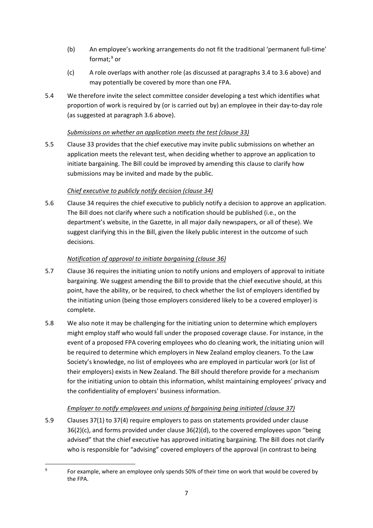- (b) An employee's working arrangements do not fit the traditional 'permanent full-time' format; [9](#page-6-0) or
- (c) A role overlaps with another role (as discussed at paragraphs 3.4 to 3.6 above) and may potentially be covered by more than one FPA.
- 5.4 We therefore invite the select committee consider developing a test which identifies what proportion of work is required by (or is carried out by) an employee in their day-to-day role (as suggested at paragraph 3.6 above).

## *Submissions on whether an application meets the test (clause 33)*

5.5 Clause 33 provides that the chief executive may invite public submissions on whether an application meets the relevant test, when deciding whether to approve an application to initiate bargaining. The Bill could be improved by amending this clause to clarify how submissions may be invited and made by the public.

# *Chief executive to publicly notify decision (clause 34)*

5.6 Clause 34 requires the chief executive to publicly notify a decision to approve an application. The Bill does not clarify where such a notification should be published (i.e., on the department's website, in the Gazette, in all major daily newspapers, or all of these). We suggest clarifying this in the Bill, given the likely public interest in the outcome of such decisions.

# *Notification of approval to initiate bargaining (clause 36)*

- 5.7 Clause 36 requires the initiating union to notify unions and employers of approval to initiate bargaining. We suggest amending the Bill to provide that the chief executive should, at this point, have the ability, or be required, to check whether the list of employers identified by the initiating union (being those employers considered likely to be a covered employer) is complete.
- 5.8 We also note it may be challenging for the initiating union to determine which employers might employ staff who would fall under the proposed coverage clause. For instance, in the event of a proposed FPA covering employees who do cleaning work, the initiating union will be required to determine which employers in New Zealand employ cleaners. To the Law Society's knowledge, no list of employees who are employed in particular work (or list of their employers) exists in New Zealand. The Bill should therefore provide for a mechanism for the initiating union to obtain this information, whilst maintaining employees' privacy and the confidentiality of employers' business information.

# *Employer to notify employees and unions of bargaining being initiated (clause 37)*

5.9 Clauses 37(1) to 37(4) require employers to pass on statements provided under clause 36(2)(c), and forms provided under clause 36(2)(d), to the covered employees upon "being advised" that the chief executive has approved initiating bargaining. The Bill does not clarify who is responsible for "advising" covered employers of the approval (in contrast to being

<span id="page-6-0"></span> $\overline{9}$  For example, where an employee only spends 50% of their time on work that would be covered by the FPA.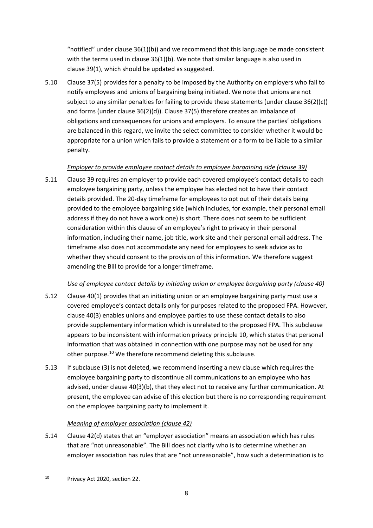"notified" under clause  $36(1)(b)$  and we recommend that this language be made consistent with the terms used in clause 36(1)(b). We note that similar language is also used in clause 39(1), which should be updated as suggested.

5.10 Clause 37(5) provides for a penalty to be imposed by the Authority on employers who fail to notify employees and unions of bargaining being initiated. We note that unions are not subject to any similar penalties for failing to provide these statements (under clause 36(2)(c)) and forms (under clause 36(2)(d)). Clause 37(5) therefore creates an imbalance of obligations and consequences for unions and employers. To ensure the parties' obligations are balanced in this regard, we invite the select committee to consider whether it would be appropriate for a union which fails to provide a statement or a form to be liable to a similar penalty.

## *Employer to provide employee contact details to employee bargaining side (clause 39)*

5.11 Clause 39 requires an employer to provide each covered employee's contact details to each employee bargaining party, unless the employee has elected not to have their contact details provided. The 20-day timeframe for employees to opt out of their details being provided to the employee bargaining side (which includes, for example, their personal email address if they do not have a work one) is short. There does not seem to be sufficient consideration within this clause of an employee's right to privacy in their personal information, including their name, job title, work site and their personal email address. The timeframe also does not accommodate any need for employees to seek advice as to whether they should consent to the provision of this information. We therefore suggest amending the Bill to provide for a longer timeframe.

## *Use of employee contact details by initiating union or employee bargaining party (clause 40)*

- 5.12 Clause 40(1) provides that an initiating union or an employee bargaining party must use a covered employee's contact details only for purposes related to the proposed FPA. However, clause 40(3) enables unions and employee parties to use these contact details to also provide supplementary information which is unrelated to the proposed FPA. This subclause appears to be inconsistent with information privacy principle 10, which states that personal information that was obtained in connection with one purpose may not be used for any other purpose.<sup>[10](#page-7-0)</sup> We therefore recommend deleting this subclause.
- 5.13 If subclause (3) is not deleted, we recommend inserting a new clause which requires the employee bargaining party to discontinue all communications to an employee who has advised, under clause 40(3)(b), that they elect not to receive any further communication. At present, the employee can advise of this election but there is no corresponding requirement on the employee bargaining party to implement it.

## *Meaning of employer association (clause 42)*

5.14 Clause 42(d) states that an "employer association" means an association which has rules that are "not unreasonable". The Bill does not clarify who is to determine whether an employer association has rules that are "not unreasonable", how such a determination is to

<span id="page-7-0"></span><sup>10</sup> Privacy Act 2020, section 22.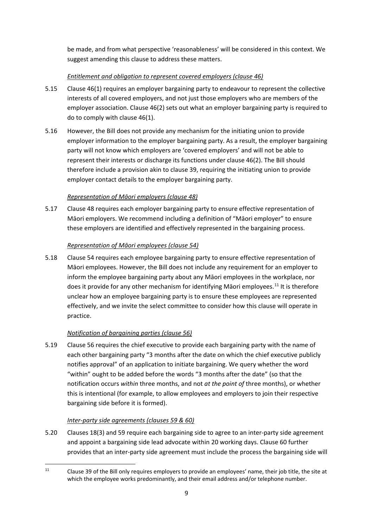be made, and from what perspective 'reasonableness' will be considered in this context. We suggest amending this clause to address these matters.

## *Entitlement and obligation to represent covered employers (clause 46)*

- 5.15 Clause 46(1) requires an employer bargaining party to endeavour to represent the collective interests of all covered employers, and not just those employers who are members of the employer association. Clause 46(2) sets out what an employer bargaining party is required to do to comply with clause 46(1).
- 5.16 However, the Bill does not provide any mechanism for the initiating union to provide employer information to the employer bargaining party. As a result, the employer bargaining party will not know which employers are 'covered employers' and will not be able to represent their interests or discharge its functions under clause 46(2). The Bill should therefore include a provision akin to clause 39, requiring the initiating union to provide employer contact details to the employer bargaining party.

## *Representation of Māori employers (clause 48)*

5.17 Clause 48 requires each employer bargaining party to ensure effective representation of Māori employers. We recommend including a definition of "Māori employer" to ensure these employers are identified and effectively represented in the bargaining process.

## *Representation of Māori employees (clause 54)*

5.18 Clause 54 requires each employee bargaining party to ensure effective representation of Māori employees. However, the Bill does not include any requirement for an employer to inform the employee bargaining party about any Māori employees in the workplace, nor does it provide for any other mechanism for identifying Māori employees.<sup>[11](#page-8-0)</sup> It is therefore unclear how an employee bargaining party is to ensure these employees are represented effectively, and we invite the select committee to consider how this clause will operate in practice.

## *Notification of bargaining parties (clause 56)*

5.19 Clause 56 requires the chief executive to provide each bargaining party with the name of each other bargaining party "3 months after the date on which the chief executive publicly notifies approval" of an application to initiate bargaining. We query whether the word "within" ought to be added before the words "3 months after the date" (so that the notification occurs *within* three months, and not *at the point of* three months), or whether this is intentional (for example, to allow employees and employers to join their respective bargaining side before it is formed).

## *Inter-party side agreements (clauses 59 & 60)*

5.20 Clauses 18(3) and 59 require each bargaining side to agree to an inter-party side agreement and appoint a bargaining side lead advocate within 20 working days. Clause 60 further provides that an inter-party side agreement must include the process the bargaining side will

<span id="page-8-0"></span><sup>&</sup>lt;sup>11</sup> Clause 39 of the Bill only requires employers to provide an employees' name, their job title, the site at which the employee works predominantly, and their email address and/or telephone number.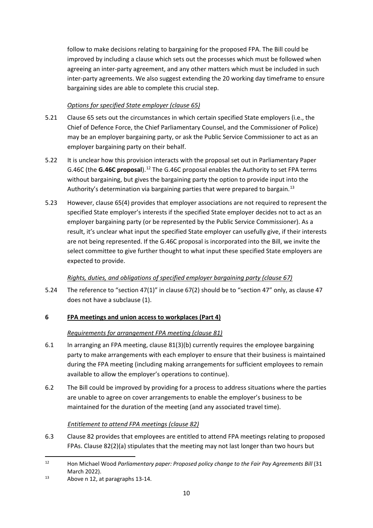follow to make decisions relating to bargaining for the proposed FPA. The Bill could be improved by including a clause which sets out the processes which must be followed when agreeing an inter-party agreement, and any other matters which must be included in such inter-party agreements. We also suggest extending the 20 working day timeframe to ensure bargaining sides are able to complete this crucial step.

## *Options for specified State employer (clause 65)*

- 5.21 Clause 65 sets out the circumstances in which certain specified State employers (i.e., the Chief of Defence Force, the Chief Parliamentary Counsel, and the Commissioner of Police) may be an employer bargaining party, or ask the Public Service Commissioner to act as an employer bargaining party on their behalf.
- 5.22 It is unclear how this provision interacts with the proposal set out in Parliamentary Paper G.46C (the **G.46C proposal**).[12](#page-9-0) The G.46C proposal enables the Authority to set FPA terms without bargaining, but gives the bargaining party the option to provide input into the Authority's determination via bargaining parties that were prepared to bargain.<sup>[13](#page-9-1)</sup>
- 5.23 However, clause 65(4) provides that employer associations are not required to represent the specified State employer's interests if the specified State employer decides not to act as an employer bargaining party (or be represented by the Public Service Commissioner). As a result, it's unclear what input the specified State employer can usefully give, if their interests are not being represented. If the G.46C proposal is incorporated into the Bill, we invite the select committee to give further thought to what input these specified State employers are expected to provide.

## *Rights, duties, and obligations of specified employer bargaining party (clause 67)*

5.24 The reference to "section 47(1)" in clause 67(2) should be to "section 47" only, as clause 47 does not have a subclause (1).

# **6 FPA meetings and union access to workplaces (Part 4)**

## *Requirements for arrangement FPA meeting (clause 81)*

- 6.1 In arranging an FPA meeting, clause 81(3)(b) currently requires the employee bargaining party to make arrangements with each employer to ensure that their business is maintained during the FPA meeting (including making arrangements for sufficient employees to remain available to allow the employer's operations to continue).
- 6.2 The Bill could be improved by providing for a process to address situations where the parties are unable to agree on cover arrangements to enable the employer's business to be maintained for the duration of the meeting (and any associated travel time).

## *Entitlement to attend FPA meetings (clause 82)*

6.3 Clause 82 provides that employees are entitled to attend FPA meetings relating to proposed FPAs. Clause 82(2)(a) stipulates that the meeting may not last longer than two hours but

<span id="page-9-0"></span><sup>12</sup> Hon Michael Wood *Parliamentary paper: Proposed policy change to the Fair Pay Agreements Bill* (31 March 2022).<br> $13$  Above n 12, at paragraphs 13-14.

<span id="page-9-1"></span>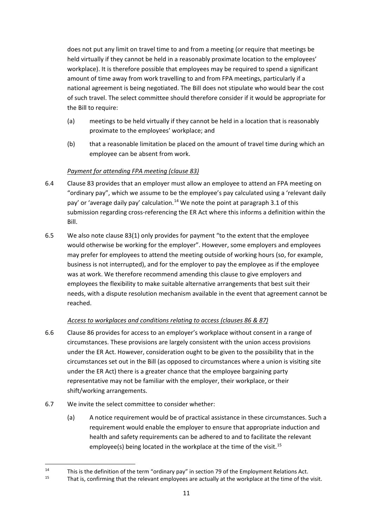does not put any limit on travel time to and from a meeting (or require that meetings be held virtually if they cannot be held in a reasonably proximate location to the employees' workplace). It is therefore possible that employees may be required to spend a significant amount of time away from work travelling to and from FPA meetings, particularly if a national agreement is being negotiated. The Bill does not stipulate who would bear the cost of such travel. The select committee should therefore consider if it would be appropriate for the Bill to require:

- (a) meetings to be held virtually if they cannot be held in a location that is reasonably proximate to the employees' workplace; and
- (b) that a reasonable limitation be placed on the amount of travel time during which an employee can be absent from work.

## *Payment for attending FPA meeting (clause 83)*

- 6.4 Clause 83 provides that an employer must allow an employee to attend an FPA meeting on "ordinary pay", which we assume to be the employee's pay calculated using a 'relevant daily pay' or 'average daily pay' calculation.<sup>[14](#page-10-0)</sup> We note the point at paragraph 3.1 of this submission regarding cross-referencing the ER Act where this informs a definition within the Bill.
- 6.5 We also note clause 83(1) only provides for payment "to the extent that the employee would otherwise be working for the employer". However, some employers and employees may prefer for employees to attend the meeting outside of working hours (so, for example, business is not interrupted), and for the employer to pay the employee as if the employee was at work. We therefore recommend amending this clause to give employers and employees the flexibility to make suitable alternative arrangements that best suit their needs, with a dispute resolution mechanism available in the event that agreement cannot be reached.

## *Access to workplaces and conditions relating to access (clauses 86 & 87)*

- 6.6 Clause 86 provides for access to an employer's workplace without consent in a range of circumstances. These provisions are largely consistent with the union access provisions under the ER Act. However, consideration ought to be given to the possibility that in the circumstances set out in the Bill (as opposed to circumstances where a union is visiting site under the ER Act) there is a greater chance that the employee bargaining party representative may not be familiar with the employer, their workplace, or their shift/working arrangements.
- 6.7 We invite the select committee to consider whether:
	- (a) A notice requirement would be of practical assistance in these circumstances. Such a requirement would enable the employer to ensure that appropriate induction and health and safety requirements can be adhered to and to facilitate the relevant employee(s) being located in the workplace at the time of the visit.<sup>[15](#page-10-1)</sup>

<span id="page-10-0"></span><sup>&</sup>lt;sup>14</sup> This is the definition of the term "ordinary pay" in section 79 of the Employment Relations Act.<br><sup>15</sup> That is, confirming that the relevant employees are actually at the workplace at the time of the visit.

<span id="page-10-1"></span>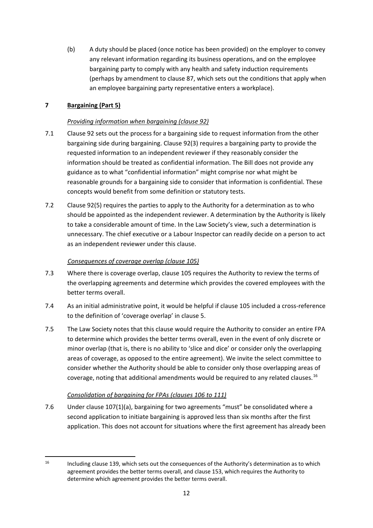(b) A duty should be placed (once notice has been provided) on the employer to convey any relevant information regarding its business operations, and on the employee bargaining party to comply with any health and safety induction requirements (perhaps by amendment to clause 87, which sets out the conditions that apply when an employee bargaining party representative enters a workplace).

## **7 Bargaining (Part 5)**

## *Providing information when bargaining (clause 92)*

- 7.1 Clause 92 sets out the process for a bargaining side to request information from the other bargaining side during bargaining. Clause 92(3) requires a bargaining party to provide the requested information to an independent reviewer if they reasonably consider the information should be treated as confidential information. The Bill does not provide any guidance as to what "confidential information" might comprise nor what might be reasonable grounds for a bargaining side to consider that information is confidential. These concepts would benefit from some definition or statutory tests.
- 7.2 Clause 92(5) requires the parties to apply to the Authority for a determination as to who should be appointed as the independent reviewer. A determination by the Authority is likely to take a considerable amount of time. In the Law Society's view, such a determination is unnecessary. The chief executive or a Labour Inspector can readily decide on a person to act as an independent reviewer under this clause.

## *Consequences of coverage overlap (clause 105)*

- 7.3 Where there is coverage overlap, clause 105 requires the Authority to review the terms of the overlapping agreements and determine which provides the covered employees with the better terms overall.
- 7.4 As an initial administrative point, it would be helpful if clause 105 included a cross-reference to the definition of 'coverage overlap' in clause 5.
- 7.5 The Law Society notes that this clause would require the Authority to consider an entire FPA to determine which provides the better terms overall, even in the event of only discrete or minor overlap (that is, there is no ability to 'slice and dice' or consider only the overlapping areas of coverage, as opposed to the entire agreement). We invite the select committee to consider whether the Authority should be able to consider only those overlapping areas of coverage, noting that additional amendments would be required to any related clauses.  $^{16}$  $^{16}$  $^{16}$

## *Consolidation of bargaining for FPAs (clauses 106 to 111)*

7.6 Under clause 107(1)(a), bargaining for two agreements "must" be consolidated where a second application to initiate bargaining is approved less than six months after the first application. This does not account for situations where the first agreement has already been

<span id="page-11-0"></span><sup>&</sup>lt;sup>16</sup> Including clause 139, which sets out the consequences of the Authority's determination as to which agreement provides the better terms overall, and clause 153, which requires the Authority to determine which agreement provides the better terms overall.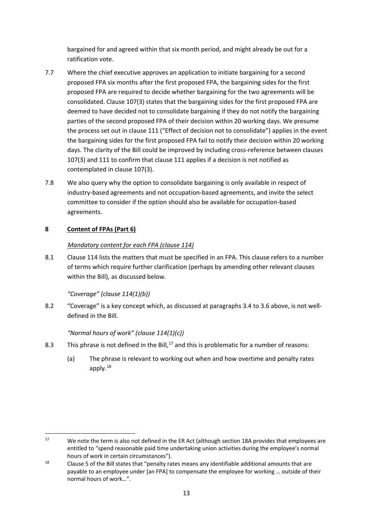bargained for and agreed within that six month period, and might already be out for a ratification vote.

- 7.7 Where the chief executive approves an application to initiate bargaining for a second proposed FPA six months after the first proposed FPA, the bargaining sides for the first proposed FPA are required to decide whether bargaining for the two agreements will be consolidated. Clause 107(3) states that the bargaining sides for the first proposed FPA are deemed to have decided not to consolidate bargaining if they do not notify the bargaining parties of the second proposed FPA of their decision within 20 working days. We presume the process set out in clause 111 ("Effect of decision not to consolidate") applies in the event the bargaining sides for the first proposed FPA fail to notify their decision within 20 working days. The clarity of the Bill could be improved by including cross-reference between clauses 107(3) and 111 to confirm that clause 111 applies if a decision is not notified as contemplated in clause 107(3).
- 7.8 We also query why the option to consolidate bargaining is only available in respect of industry-based agreements and not occupation-based agreements, and invite the select committee to consider if the option should also be available for occupation-based agreements.

## **8 Content of FPAs (Part 6)**

## *Mandatory content for each FPA (clause 114)*

8.1 Clause 114 lists the matters that must be specified in an FPA. This clause refers to a number of terms which require further clarification (perhaps by amending other relevant clauses within the Bill), as discussed below.

## *"Coverage" (clause 114(1)(b))*

8.2 "Coverage" is a key concept which, as discussed at paragraphs 3.4 to 3.6 above, is not welldefined in the Bill.

## *"Normal hours of work" (clause 114(1)(c))*

- 8.3 This phrase is not defined in the Bill,  $17$  and this is problematic for a number of reasons:
	- (a) The phrase is relevant to working out when and how overtime and penalty rates apply. $^{18}$  $^{18}$  $^{18}$

<span id="page-12-0"></span><sup>&</sup>lt;sup>17</sup> We note the term is also not defined in the ER Act (although section 18A provides that employees are entitled to "spend reasonable paid time undertaking union activities during the employee's normal hours of work in certain circumstances").

<span id="page-12-1"></span><sup>&</sup>lt;sup>18</sup> Clause 5 of the Bill states that "penalty rates means any identifiable additional amounts that are payable to an employee under [an FPA] to compensate the employee for working … outside of their normal hours of work…".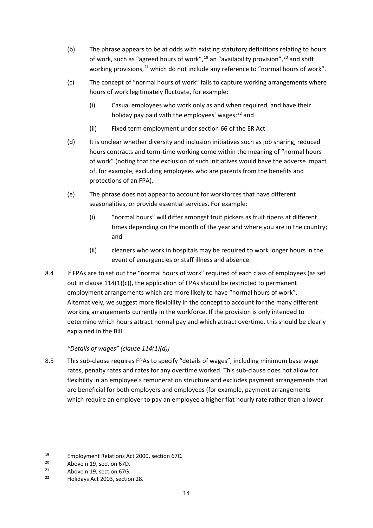- (b) The phrase appears to be at odds with existing statutory definitions relating to hours of work, such as "agreed hours of work",<sup>[19](#page-13-0)</sup> an "availability provision",<sup>[20](#page-13-1)</sup> and shift working provisions,<sup>[21](#page-13-2)</sup> which do not include any reference to "normal hours of work".
- (c) The concept of "normal hours of work" fails to capture working arrangements where hours of work legitimately fluctuate, for example:
	- (i) Casual employees who work only as and when required, and have their holiday pay paid with the employees' wages;<sup>[22](#page-13-3)</sup> and
	- (ii) Fixed term employment under section 66 of the ER Act
- (d) It is unclear whether diversity and inclusion initiatives such as job sharing, reduced hours contracts and term-time working come within the meaning of "normal hours of work" (noting that the exclusion of such initiatives would have the adverse impact of, for example, excluding employees who are parents from the benefits and protections of an FPA).
- (e) The phrase does not appear to account for workforces that have different seasonalities, or provide essential services. For example:
	- (i) "normal hours" will differ amongst fruit pickers as fruit ripens at different times depending on the month of the year and where you are in the country; and
	- (ii) cleaners who work in hospitals may be required to work longer hours in the event of emergencies or staff illness and absence.
- 8.4 If FPAs are to set out the "normal hours of work" required of each class of employees (as set out in clause  $114(1)(c)$ , the application of FPAs should be restricted to permanent employment arrangements which are more likely to have "normal hours of work". Alternatively, we suggest more flexibility in the concept to account for the many different working arrangements currently in the workforce. If the provision is only intended to determine which hours attract normal pay and which attract overtime, this should be clearly explained in the Bill.

## *"Details of wages" (clause 114(1)(d))*

8.5 This sub-clause requires FPAs to specify "details of wages", including minimum base wage rates, penalty rates and rates for any overtime worked. This sub-clause does not allow for flexibility in an employee's remuneration structure and excludes payment arrangements that are beneficial for both employers and employees (for example, payment arrangements which require an employer to pay an employee a higher flat hourly rate rather than a lower

<span id="page-13-0"></span><sup>&</sup>lt;sup>19</sup> Employment Relations Act 2000, section 67C.

<span id="page-13-2"></span><span id="page-13-1"></span><sup>&</sup>lt;sup>20</sup> Above n 19, section 67D.<br>
<sup>21</sup> Above n 19, section 67G.<br>
<sup>22</sup> Helidays Act 2002, section

<span id="page-13-3"></span><sup>22</sup> Holidays Act 2003, section 28.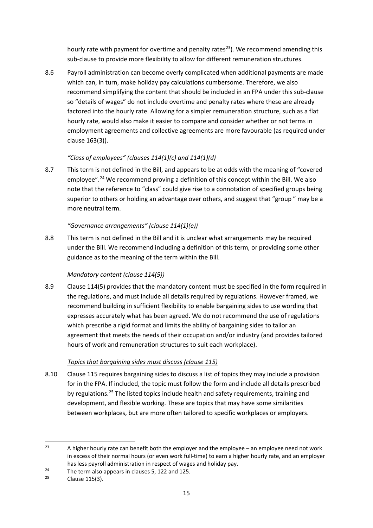hourly rate with payment for overtime and penalty rates<sup>23</sup>). We recommend amending this sub-clause to provide more flexibility to allow for different remuneration structures.

8.6 Payroll administration can become overly complicated when additional payments are made which can, in turn, make holiday pay calculations cumbersome. Therefore, we also recommend simplifying the content that should be included in an FPA under this sub-clause so "details of wages" do not include overtime and penalty rates where these are already factored into the hourly rate. Allowing for a simpler remuneration structure, such as a flat hourly rate, would also make it easier to compare and consider whether or not terms in employment agreements and collective agreements are more favourable (as required under clause 163(3)).

## *"Class of employees" (clauses 114(1)(c) and 114(1)(d)*

8.7 This term is not defined in the Bill, and appears to be at odds with the meaning of "covered employee".<sup>24</sup> We recommend proving a definition of this concept within the Bill. We also note that the reference to "class" could give rise to a connotation of specified groups being superior to others or holding an advantage over others, and suggest that "group " may be a more neutral term.

## *"Governance arrangements" (clause 114(1)(e))*

8.8 This term is not defined in the Bill and it is unclear what arrangements may be required under the Bill. We recommend including a definition of this term, or providing some other guidance as to the meaning of the term within the Bill.

## *Mandatory content (clause 114(5))*

8.9 Clause 114(5) provides that the mandatory content must be specified in the form required in the regulations, and must include all details required by regulations. However framed, we recommend building in sufficient flexibility to enable bargaining sides to use wording that expresses accurately what has been agreed. We do not recommend the use of regulations which prescribe a rigid format and limits the ability of bargaining sides to tailor an agreement that meets the needs of their occupation and/or industry (and provides tailored hours of work and remuneration structures to suit each workplace).

## *Topics that bargaining sides must discuss (clause 115)*

8.10 Clause 115 requires bargaining sides to discuss a list of topics they may include a provision for in the FPA. If included, the topic must follow the form and include all details prescribed by regulations.<sup>[25](#page-14-2)</sup> The listed topics include health and safety requirements, training and development, and flexible working. These are topics that may have some similarities between workplaces, but are more often tailored to specific workplaces or employers.

<span id="page-14-0"></span><sup>&</sup>lt;sup>23</sup> A higher hourly rate can benefit both the employer and the employee – an employee need not work in excess of their normal hours (or even work full-time) to earn a higher hourly rate, and an employer has less payroll administration in respect of wages and holiday pay.

<span id="page-14-1"></span><sup>&</sup>lt;sup>24</sup> The term also appears in clauses 5, 122 and 125.<br><sup>25</sup> Clause 115(3).

<span id="page-14-2"></span>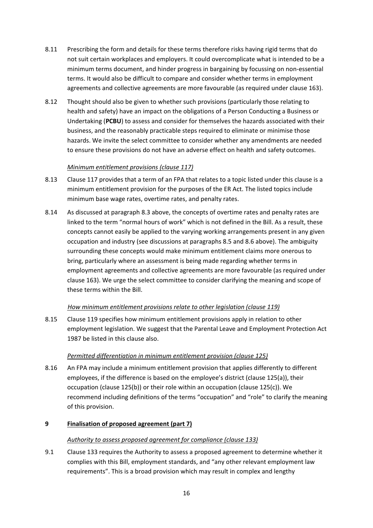- 8.11 Prescribing the form and details for these terms therefore risks having rigid terms that do not suit certain workplaces and employers. It could overcomplicate what is intended to be a minimum terms document, and hinder progress in bargaining by focussing on non-essential terms. It would also be difficult to compare and consider whether terms in employment agreements and collective agreements are more favourable (as required under clause 163).
- 8.12 Thought should also be given to whether such provisions (particularly those relating to health and safety) have an impact on the obligations of a Person Conducting a Business or Undertaking (**PCBU**) to assess and consider for themselves the hazards associated with their business, and the reasonably practicable steps required to eliminate or minimise those hazards. We invite the select committee to consider whether any amendments are needed to ensure these provisions do not have an adverse effect on health and safety outcomes.

## *Minimum entitlement provisions (clause 117)*

- 8.13 Clause 117 provides that a term of an FPA that relates to a topic listed under this clause is a minimum entitlement provision for the purposes of the ER Act. The listed topics include minimum base wage rates, overtime rates, and penalty rates.
- 8.14 As discussed at paragraph 8.3 above, the concepts of overtime rates and penalty rates are linked to the term "normal hours of work" which is not defined in the Bill. As a result, these concepts cannot easily be applied to the varying working arrangements present in any given occupation and industry (see discussions at paragraphs 8.5 and 8.6 above). The ambiguity surrounding these concepts would make minimum entitlement claims more onerous to bring, particularly where an assessment is being made regarding whether terms in employment agreements and collective agreements are more favourable (as required under clause 163). We urge the select committee to consider clarifying the meaning and scope of these terms within the Bill.

## *How minimum entitlement provisions relate to other legislation (clause 119)*

8.15 Clause 119 specifies how minimum entitlement provisions apply in relation to other employment legislation. We suggest that the Parental Leave and Employment Protection Act 1987 be listed in this clause also.

## *Permitted differentiation in minimum entitlement provision (clause 125)*

8.16 An FPA may include a minimum entitlement provision that applies differently to different employees, if the difference is based on the employee's district (clause 125(a)), their occupation (clause 125(b)) or their role within an occupation (clause 125(c)). We recommend including definitions of the terms "occupation" and "role" to clarify the meaning of this provision.

## **9 Finalisation of proposed agreement (part 7)**

## *Authority to assess proposed agreement for compliance (clause 133)*

9.1 Clause 133 requires the Authority to assess a proposed agreement to determine whether it complies with this Bill, employment standards, and "any other relevant employment law requirements". This is a broad provision which may result in complex and lengthy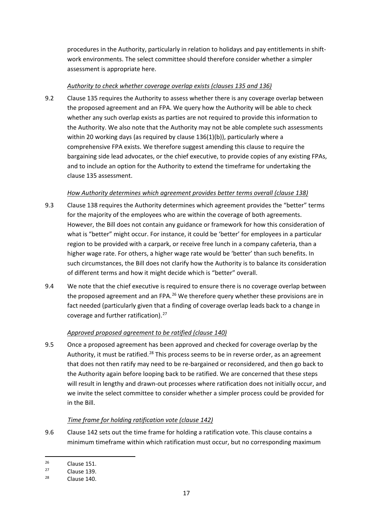procedures in the Authority, particularly in relation to holidays and pay entitlements in shiftwork environments. The select committee should therefore consider whether a simpler assessment is appropriate here.

## *Authority to check whether coverage overlap exists (clauses 135 and 136)*

9.2 Clause 135 requires the Authority to assess whether there is any coverage overlap between the proposed agreement and an FPA. We query how the Authority will be able to check whether any such overlap exists as parties are not required to provide this information to the Authority. We also note that the Authority may not be able complete such assessments within 20 working days (as required by clause 136(1)(b)), particularly where a comprehensive FPA exists. We therefore suggest amending this clause to require the bargaining side lead advocates, or the chief executive, to provide copies of any existing FPAs, and to include an option for the Authority to extend the timeframe for undertaking the clause 135 assessment.

## *How Authority determines which agreement provides better terms overall (clause 138)*

- 9.3 Clause 138 requires the Authority determines which agreement provides the "better" terms for the majority of the employees who are within the coverage of both agreements. However, the Bill does not contain any guidance or framework for how this consideration of what is "better" might occur. For instance, it could be 'better' for employees in a particular region to be provided with a carpark, or receive free lunch in a company cafeteria, than a higher wage rate. For others, a higher wage rate would be 'better' than such benefits. In such circumstances, the Bill does not clarify how the Authority is to balance its consideration of different terms and how it might decide which is "better" overall.
- 9.4 We note that the chief executive is required to ensure there is no coverage overlap between the proposed agreement and an FPA. $^{26}$  $^{26}$  $^{26}$  We therefore query whether these provisions are in fact needed (particularly given that a finding of coverage overlap leads back to a change in coverage and further ratification).<sup>27</sup>

## *Approved proposed agreement to be ratified (clause 140)*

9.5 Once a proposed agreement has been approved and checked for coverage overlap by the Authority, it must be ratified.<sup>[28](#page-16-2)</sup> This process seems to be in reverse order, as an agreement that does not then ratify may need to be re-bargained or reconsidered, and then go back to the Authority again before looping back to be ratified. We are concerned that these steps will result in lengthy and drawn-out processes where ratification does not initially occur, and we invite the select committee to consider whether a simpler process could be provided for in the Bill.

## *Time frame for holding ratification vote (clause 142)*

9.6 Clause 142 sets out the time frame for holding a ratification vote. This clause contains a minimum timeframe within which ratification must occur, but no corresponding maximum

<span id="page-16-0"></span> $rac{26}{27}$  Clause 151.

<span id="page-16-2"></span><span id="page-16-1"></span><sup>&</sup>lt;sup>27</sup> Clause 139.<br><sup>28</sup> Clause 140.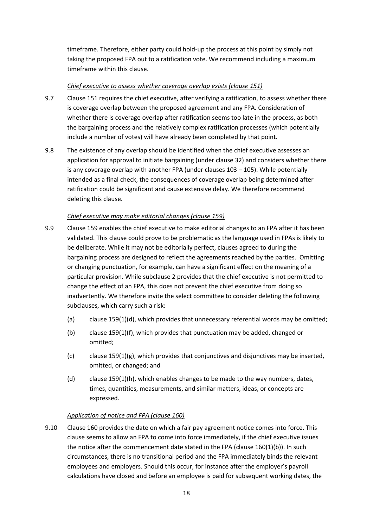timeframe. Therefore, either party could hold-up the process at this point by simply not taking the proposed FPA out to a ratification vote. We recommend including a maximum timeframe within this clause.

## *Chief executive to assess whether coverage overlap exists (clause 151)*

- 9.7 Clause 151 requires the chief executive, after verifying a ratification, to assess whether there is coverage overlap between the proposed agreement and any FPA. Consideration of whether there is coverage overlap after ratification seems too late in the process, as both the bargaining process and the relatively complex ratification processes (which potentially include a number of votes) will have already been completed by that point.
- 9.8 The existence of any overlap should be identified when the chief executive assesses an application for approval to initiate bargaining (under clause 32) and considers whether there is any coverage overlap with another FPA (under clauses  $103 - 105$ ). While potentially intended as a final check, the consequences of coverage overlap being determined after ratification could be significant and cause extensive delay. We therefore recommend deleting this clause.

## *Chief executive may make editorial changes (clause 159)*

- 9.9 Clause 159 enables the chief executive to make editorial changes to an FPA after it has been validated. This clause could prove to be problematic as the language used in FPAs is likely to be deliberate. While it may not be editorially perfect, clauses agreed to during the bargaining process are designed to reflect the agreements reached by the parties. Omitting or changing punctuation, for example, can have a significant effect on the meaning of a particular provision. While subclause 2 provides that the chief executive is not permitted to change the effect of an FPA, this does not prevent the chief executive from doing so inadvertently. We therefore invite the select committee to consider deleting the following subclauses, which carry such a risk:
	- (a) clause  $159(1)(d)$ , which provides that unnecessary referential words may be omitted;
	- (b) clause 159(1)(f), which provides that punctuation may be added, changed or omitted;
	- $(c)$  clause 159(1)(g), which provides that conjunctives and disjunctives may be inserted, omitted, or changed; and
	- (d) clause 159(1)(h), which enables changes to be made to the way numbers, dates, times, quantities, measurements, and similar matters, ideas, or concepts are expressed.

## *Application of notice and FPA (clause 160)*

9.10 Clause 160 provides the date on which a fair pay agreement notice comes into force. This clause seems to allow an FPA to come into force immediately, if the chief executive issues the notice after the commencement date stated in the FPA (clause 160(1)(b)). In such circumstances, there is no transitional period and the FPA immediately binds the relevant employees and employers. Should this occur, for instance after the employer's payroll calculations have closed and before an employee is paid for subsequent working dates, the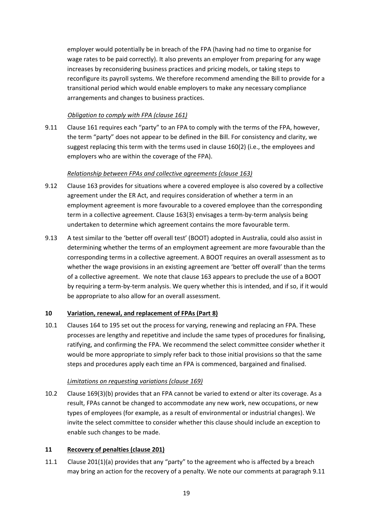employer would potentially be in breach of the FPA (having had no time to organise for wage rates to be paid correctly). It also prevents an employer from preparing for any wage increases by reconsidering business practices and pricing models, or taking steps to reconfigure its payroll systems. We therefore recommend amending the Bill to provide for a transitional period which would enable employers to make any necessary compliance arrangements and changes to business practices.

#### *Obligation to comply with FPA (clause 161)*

9.11 Clause 161 requires each "party" to an FPA to comply with the terms of the FPA, however, the term "party" does not appear to be defined in the Bill. For consistency and clarity, we suggest replacing this term with the terms used in clause 160(2) (i.e., the employees and employers who are within the coverage of the FPA).

## *Relationship between FPAs and collective agreements (clause 163)*

- 9.12 Clause 163 provides for situations where a covered employee is also covered by a collective agreement under the ER Act, and requires consideration of whether a term in an employment agreement is more favourable to a covered employee than the corresponding term in a collective agreement. Clause 163(3) envisages a term-by-term analysis being undertaken to determine which agreement contains the more favourable term.
- 9.13 A test similar to the 'better off overall test' (BOOT) adopted in Australia, could also assist in determining whether the terms of an employment agreement are more favourable than the corresponding terms in a collective agreement. A BOOT requires an overall assessment as to whether the wage provisions in an existing agreement are 'better off overall' than the terms of a collective agreement. We note that clause 163 appears to preclude the use of a BOOT by requiring a term-by-term analysis. We query whether this is intended, and if so, if it would be appropriate to also allow for an overall assessment.

## **10 Variation, renewal, and replacement of FPAs (Part 8)**

10.1 Clauses 164 to 195 set out the process for varying, renewing and replacing an FPA. These processes are lengthy and repetitive and include the same types of procedures for finalising, ratifying, and confirming the FPA. We recommend the select committee consider whether it would be more appropriate to simply refer back to those initial provisions so that the same steps and procedures apply each time an FPA is commenced, bargained and finalised.

## *Limitations on requesting variations (clause 169)*

10.2 Clause 169(3)(b) provides that an FPA cannot be varied to extend or alter its coverage. As a result, FPAs cannot be changed to accommodate any new work, new occupations, or new types of employees (for example, as a result of environmental or industrial changes). We invite the select committee to consider whether this clause should include an exception to enable such changes to be made.

## **11 Recovery of penalties (clause 201)**

11.1 Clause 201(1)(a) provides that any "party" to the agreement who is affected by a breach may bring an action for the recovery of a penalty. We note our comments at paragraph 9.11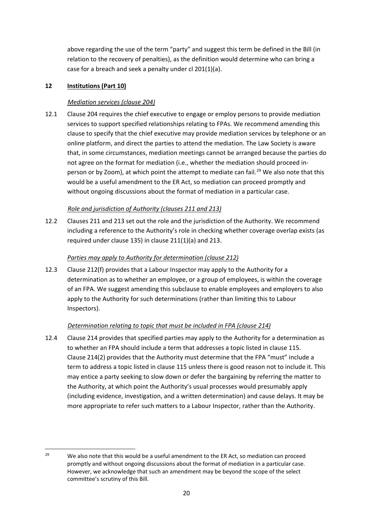above regarding the use of the term "party" and suggest this term be defined in the Bill (in relation to the recovery of penalties), as the definition would determine who can bring a case for a breach and seek a penalty under cl 201(1)(a).

## **12 Institutions (Part 10)**

## *Mediation services (clause 204)*

12.1 Clause 204 requires the chief executive to engage or employ persons to provide mediation services to support specified relationships relating to FPAs. We recommend amending this clause to specify that the chief executive may provide mediation services by telephone or an online platform, and direct the parties to attend the mediation. The Law Society is aware that, in some circumstances, mediation meetings cannot be arranged because the parties do not agree on the format for mediation (i.e., whether the mediation should proceed in-person or by Zoom), at which point the attempt to mediate can fail.<sup>[29](#page-19-0)</sup> We also note that this would be a useful amendment to the ER Act, so mediation can proceed promptly and without ongoing discussions about the format of mediation in a particular case.

## *Role and jurisdiction of Authority (clauses 211 and 213)*

12.2 Clauses 211 and 213 set out the role and the jurisdiction of the Authority. We recommend including a reference to the Authority's role in checking whether coverage overlap exists (as required under clause 135) in clause 211(1)(a) and 213.

## *Parties may apply to Authority for determination (clause 212)*

12.3 Clause 212(f) provides that a Labour Inspector may apply to the Authority for a determination as to whether an employee, or a group of employees, is within the coverage of an FPA. We suggest amending this subclause to enable employees and employers to also apply to the Authority for such determinations (rather than limiting this to Labour Inspectors).

## *Determination relating to topic that must be included in FPA (clause 214)*

12.4 Clause 214 provides that specified parties may apply to the Authority for a determination as to whether an FPA should include a term that addresses a topic listed in clause 115. Clause 214(2) provides that the Authority must determine that the FPA "must" include a term to address a topic listed in clause 115 unless there is good reason not to include it. This may entice a party seeking to slow down or defer the bargaining by referring the matter to the Authority, at which point the Authority's usual processes would presumably apply (including evidence, investigation, and a written determination) and cause delays. It may be more appropriate to refer such matters to a Labour Inspector, rather than the Authority.

<span id="page-19-0"></span><sup>&</sup>lt;sup>29</sup> We also note that this would be a useful amendment to the ER Act, so mediation can proceed promptly and without ongoing discussions about the format of mediation in a particular case. However, we acknowledge that such an amendment may be beyond the scope of the select committee's scrutiny of this Bill.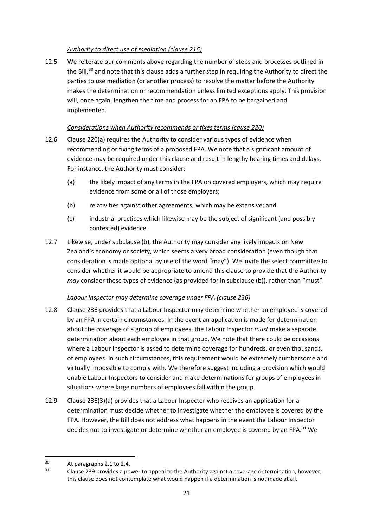## *Authority to direct use of mediation (clause 216)*

12.5 We reiterate our comments above regarding the number of steps and processes outlined in the Bill, $30$  and note that this clause adds a further step in requiring the Authority to direct the parties to use mediation (or another process) to resolve the matter before the Authority makes the determination or recommendation unless limited exceptions apply. This provision will, once again, lengthen the time and process for an FPA to be bargained and implemented.

## *Considerations when Authority recommends or fixes terms (cause 220)*

- 12.6 Clause 220(a) requires the Authority to consider various types of evidence when recommending or fixing terms of a proposed FPA. We note that a significant amount of evidence may be required under this clause and result in lengthy hearing times and delays. For instance, the Authority must consider:
	- (a) the likely impact of any terms in the FPA on covered employers, which may require evidence from some or all of those employers;
	- (b) relativities against other agreements, which may be extensive; and
	- (c) industrial practices which likewise may be the subject of significant (and possibly contested) evidence.
- 12.7 Likewise, under subclause (b), the Authority may consider any likely impacts on New Zealand's economy or society, which seems a very broad consideration (even though that consideration is made optional by use of the word "may"). We invite the select committee to consider whether it would be appropriate to amend this clause to provide that the Authority *may* consider these types of evidence (as provided for in subclause (b)), rather than "must".

## *Labour Inspector may determine coverage under FPA (clause 236)*

- 12.8 Clause 236 provides that a Labour Inspector may determine whether an employee is covered by an FPA in certain circumstances. In the event an application is made for determination about the coverage of a group of employees, the Labour Inspector *must* make a separate determination about each employee in that group. We note that there could be occasions where a Labour Inspector is asked to determine coverage for hundreds, or even thousands, of employees. In such circumstances, this requirement would be extremely cumbersome and virtually impossible to comply with. We therefore suggest including a provision which would enable Labour Inspectors to consider and make determinations for groups of employees in situations where large numbers of employees fall within the group.
- 12.9 Clause 236(3)(a) provides that a Labour Inspector who receives an application for a determination must decide whether to investigate whether the employee is covered by the FPA. However, the Bill does not address what happens in the event the Labour Inspector decides not to investigate or determine whether an employee is covered by an FPA.<sup>[31](#page-20-1)</sup> We

<span id="page-20-1"></span><span id="page-20-0"></span><sup>&</sup>lt;sup>30</sup> At paragraphs 2.1 to 2.4.<br><sup>31</sup> Clause 239 provides a power to appeal to the Authority against a coverage determination, however, this clause does not contemplate what would happen if a determination is not made at all.